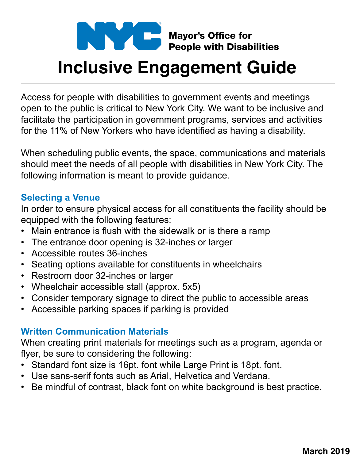

# **Inclusive Engagement Guide**

Access for people with disabilities to government events and meetings open to the public is critical to New York City. We want to be inclusive and facilitate the participation in government programs, services and activities for the 11% of New Yorkers who have identified as having a disability.

When scheduling public events, the space, communications and materials should meet the needs of all people with disabilities in New York City. The following information is meant to provide guidance.

#### **Selecting a Venue**

In order to ensure physical access for all constituents the facility should be equipped with the following features:

- Main entrance is flush with the sidewalk or is there a ramp
- The entrance door opening is 32-inches or larger
- Accessible routes 36-inches
- Seating options available for constituents in wheelchairs
- Restroom door 32-inches or larger
- Wheelchair accessible stall (approx. 5x5)
- Consider temporary signage to direct the public to accessible areas
- Accessible parking spaces if parking is provided

### **Written Communication Materials**

When creating print materials for meetings such as a program, agenda or flyer, be sure to considering the following:

- Standard font size is 16pt. font while Large Print is 18pt. font.
- Use sans-serif fonts such as Arial, Helvetica and Verdana.
- Be mindful of contrast, black font on white background is best practice.